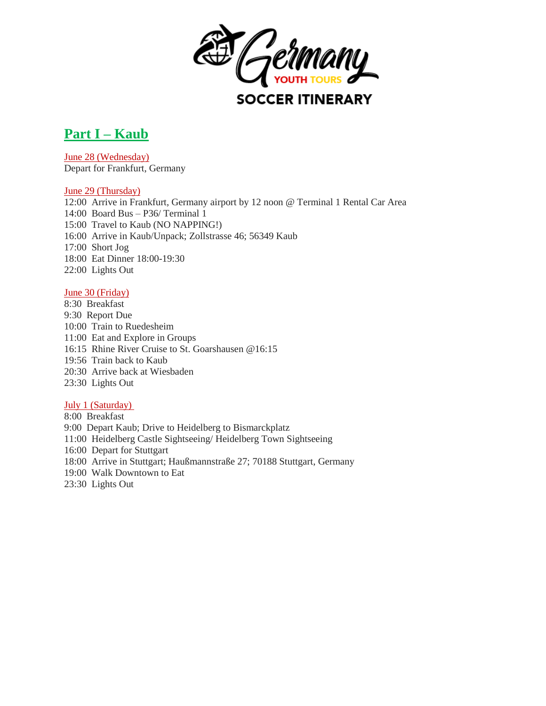

# **Part I – Kaub**

June 28 (Wednesday) Depart for Frankfurt, Germany

## June 29 (Thursday)

12:00 Arrive in Frankfurt, Germany airport by 12 noon @ Terminal 1 Rental Car Area 14:00 Board Bus – P36/ Terminal 1 15:00 Travel to Kaub (NO NAPPING!) 16:00 Arrive in Kaub/Unpack; Zollstrasse 46; 56349 Kaub 17:00 Short Jog 18:00 Eat Dinner 18:00-19:30 22:00 Lights Out

## June 30 (Friday)

8:30 Breakfast 9:30 Report Due 10:00 Train to Ruedesheim 11:00 Eat and Explore in Groups 16:15 Rhine River Cruise to St. Goarshausen @16:15 19:56 Train back to Kaub 20:30 Arrive back at Wiesbaden 23:30 Lights Out

## July 1 (Saturday)

8:00 Breakfast 9:00 Depart Kaub; Drive to Heidelberg to Bismarckplatz 11:00 Heidelberg Castle Sightseeing/ Heidelberg Town Sightseeing 16:00 Depart for Stuttgart 18:00 Arrive in Stuttgart; Haußmannstraße 27; 70188 Stuttgart, Germany 19:00 Walk Downtown to Eat 23:30 Lights Out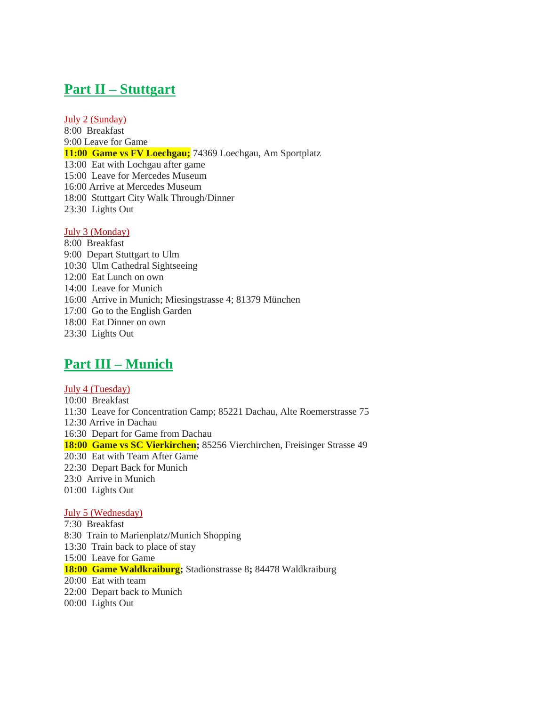## **Part II – Stuttgart**

July 2 (Sunday)

8:00 Breakfast 9:00 Leave for Game **11:00 Game vs FV Loechgau;** 74369 Loechgau, Am Sportplatz 13:00 Eat with Lochgau after game 15:00 Leave for Mercedes Museum 16:00 Arrive at Mercedes Museum 18:00 Stuttgart City Walk Through/Dinner 23:30 Lights Out

## July 3 (Monday)

8:00 Breakfast 9:00 Depart Stuttgart to Ulm 10:30 Ulm Cathedral Sightseeing 12:00 Eat Lunch on own 14:00 Leave for Munich 16:00 Arrive in Munich; Miesingstrasse 4; 81379 München 17:00 Go to the English Garden 18:00 Eat Dinner on own 23:30 Lights Out

## **Part III – Munich**

July 4 (Tuesday) 10:00 Breakfast 11:30 Leave for Concentration Camp; 85221 Dachau, Alte Roemerstrasse 75 12:30 Arrive in Dachau 16:30 Depart for Game from Dachau **18:00 Game vs SC Vierkirchen;** 85256 Vierchirchen, Freisinger Strasse 49 20:30 Eat with Team After Game 22:30 Depart Back for Munich 23:0 Arrive in Munich 01:00 Lights Out

## July 5 (Wednesday)

7:30 Breakfast 8:30 Train to Marienplatz/Munich Shopping 13:30 Train back to place of stay 15:00 Leave for Game **18:00 Game Waldkraiburg;** Stadionstrasse 8**;** 84478 Waldkraiburg 20:00 Eat with team 22:00 Depart back to Munich 00:00 Lights Out